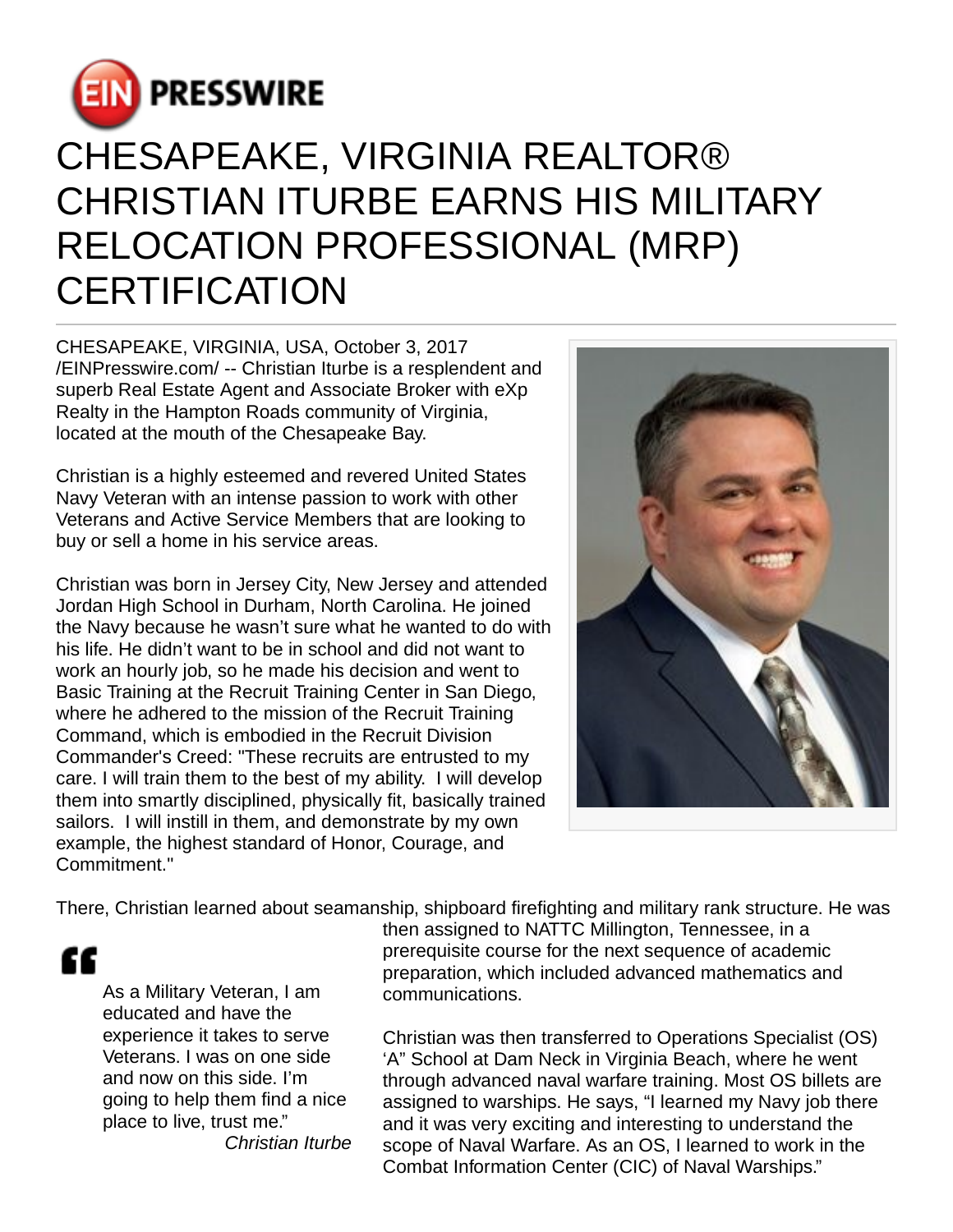

## CHESAPEAKE, VIRGINIA REALTOR® CHRISTIAN ITURBE EARNS HIS MILITARY RELOCATION PROFESSIONAL (MRP) **CERTIFICATION**

CHESAPEAKE, VIRGINIA, USA, October 3, 2017 [/EINPresswire.com](http://www.einpresswire.com)/ -- Christian Iturbe is a resplendent and superb Real Estate Agent and Associate Broker with eXp Realty in the Hampton Roads community of Virginia, located at the mouth of the Chesapeake Bay.

Christian is a highly esteemed and revered United States Navy Veteran with an intense passion to work with other Veterans and Active Service Members that are looking to buy or sell a home in his service areas.

Christian was born in Jersey City, New Jersey and attended Jordan High School in Durham, North Carolina. He joined the Navy because he wasn't sure what he wanted to do with his life. He didn't want to be in school and did not want to work an hourly job, so he made his decision and went to Basic Training at the Recruit Training Center in San Diego, where he adhered to the mission of the Recruit Training Command, which is embodied in the Recruit Division Commander's Creed: "These recruits are entrusted to my care. I will train them to the best of my ability. I will develop them into smartly disciplined, physically fit, basically trained sailors. I will instill in them, and demonstrate by my own example, the highest standard of Honor, Courage, and Commitment."



There, Christian learned about seamanship, shipboard firefighting and military rank structure. He was

££

As a Military Veteran, I am educated and have the experience it takes to serve Veterans. I was on one side and now on this side. I'm going to help them find a nice place to live, trust me." Christian Iturbe then assigned to NATTC Millington, Tennessee, in a prerequisite course for the next sequence of academic preparation, which included advanced mathematics and communications.

Christian was then transferred to Operations Specialist (OS) 'A" School at Dam Neck in Virginia Beach, where he went through advanced naval warfare training. Most OS billets are assigned to warships. He says, "I learned my Navy job there and it was very exciting and interesting to understand the scope of Naval Warfare. As an OS, I learned to work in the Combat Information Center (CIC) of Naval Warships."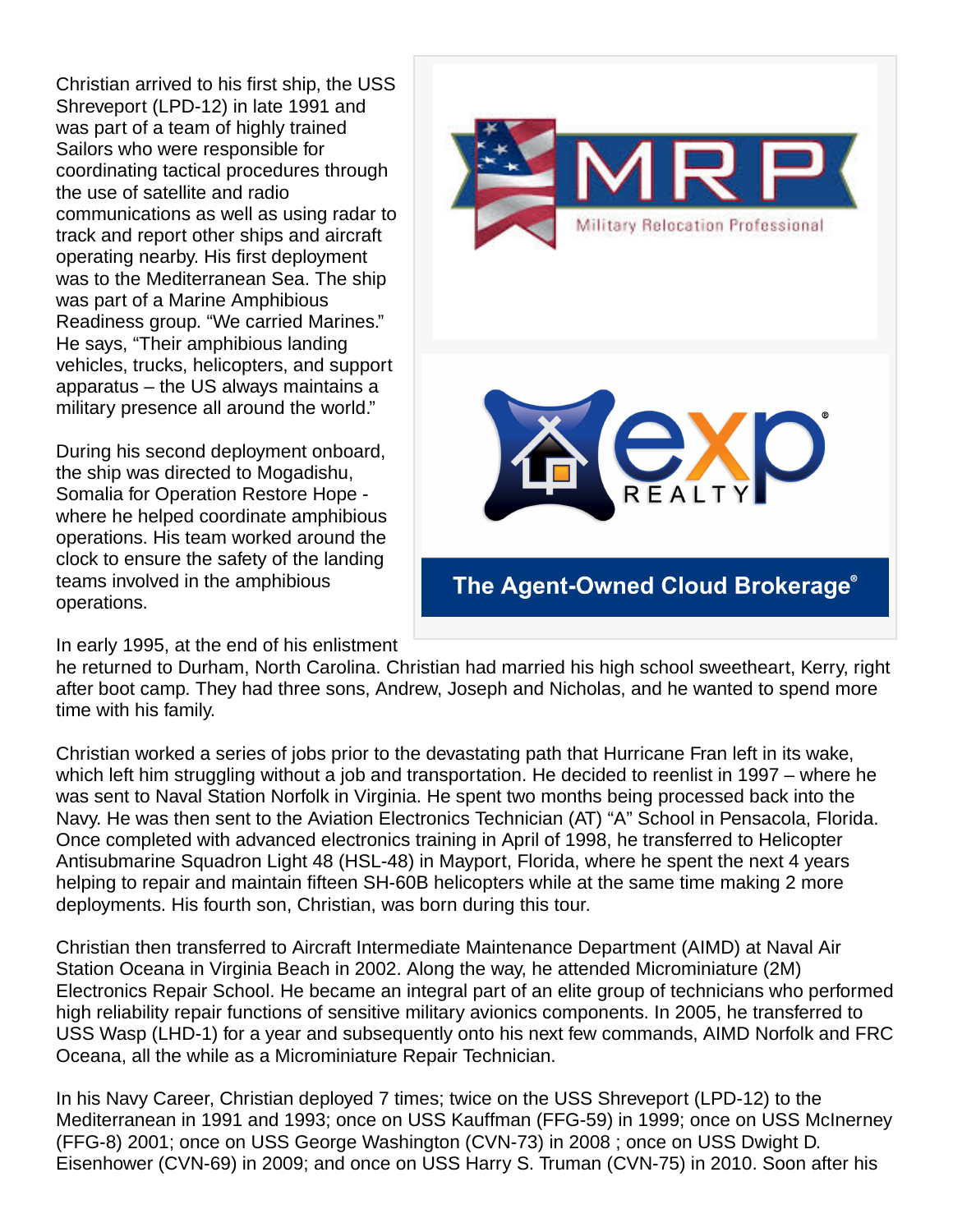Christian arrived to his first ship, the USS Shreveport (LPD-12) in late 1991 and was part of a team of highly trained Sailors who were responsible for coordinating tactical procedures through the use of satellite and radio communications as well as using radar to track and report other ships and aircraft operating nearby. His first deployment was to the Mediterranean Sea. The ship was part of a Marine Amphibious Readiness group. "We carried Marines." He says, "Their amphibious landing vehicles, trucks, helicopters, and support apparatus – the US always maintains a military presence all around the world."

During his second deployment onboard, the ship was directed to Mogadishu, Somalia for Operation Restore Hope where he helped coordinate amphibious operations. His team worked around the clock to ensure the safety of the landing teams involved in the amphibious operations.

In early 1995, at the end of his enlistment



he returned to Durham, North Carolina. Christian had married his high school sweetheart, Kerry, right after boot camp. They had three sons, Andrew, Joseph and Nicholas, and he wanted to spend more time with his family.

Christian worked a series of jobs prior to the devastating path that Hurricane Fran left in its wake, which left him struggling without a job and transportation. He decided to reenlist in 1997 – where he was sent to Naval Station Norfolk in Virginia. He spent two months being processed back into the Navy. He was then sent to the Aviation Electronics Technician (AT) "A" School in Pensacola, Florida. Once completed with advanced electronics training in April of 1998, he transferred to Helicopter Antisubmarine Squadron Light 48 (HSL-48) in Mayport, Florida, where he spent the next 4 years helping to repair and maintain fifteen SH-60B helicopters while at the same time making 2 more deployments. His fourth son, Christian, was born during this tour.

Christian then transferred to Aircraft Intermediate Maintenance Department (AIMD) at Naval Air Station Oceana in Virginia Beach in 2002. Along the way, he attended Microminiature (2M) Electronics Repair School. He became an integral part of an elite group of technicians who performed high reliability repair functions of sensitive military avionics components. In 2005, he transferred to USS Wasp (LHD-1) for a year and subsequently onto his next few commands, AIMD Norfolk and FRC Oceana, all the while as a Microminiature Repair Technician.

In his Navy Career, Christian deployed 7 times; twice on the USS Shreveport (LPD-12) to the Mediterranean in 1991 and 1993; once on USS Kauffman (FFG-59) in 1999; once on USS McInerney (FFG-8) 2001; once on USS George Washington (CVN-73) in 2008 ; once on USS Dwight D. Eisenhower (CVN-69) in 2009; and once on USS Harry S. Truman (CVN-75) in 2010. Soon after his